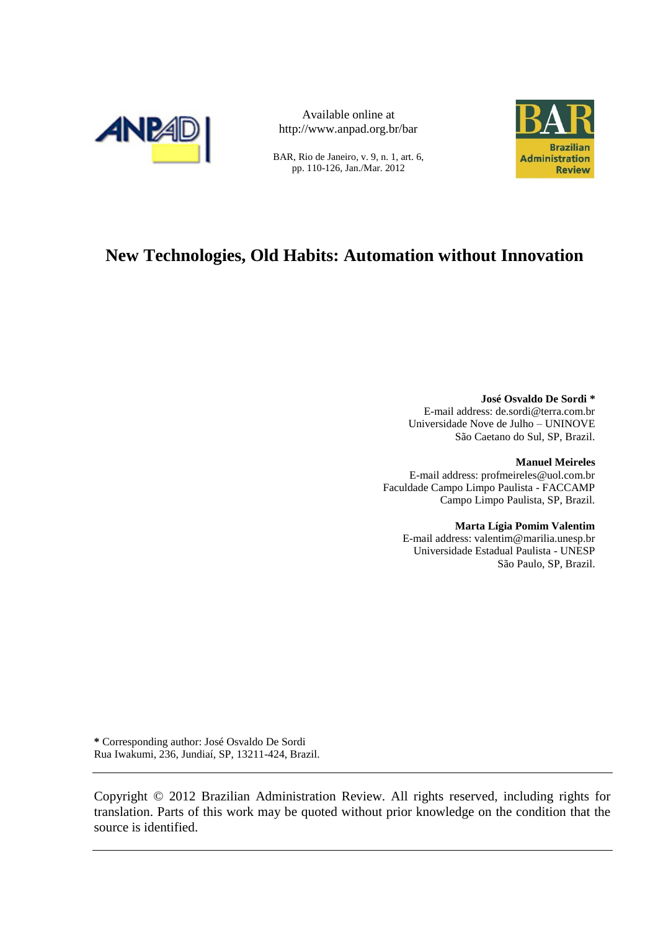

Available online at http://www.anpad.org.br/bar

BAR, Rio de Janeiro, v. 9, n. 1, art. 6, pp. 110-126, Jan./Mar. 2012



# **New Technologies, Old Habits: Automation without Innovation**

**José Osvaldo De Sordi \*** E-mail address: de.sordi@terra.com.br Universidade Nove de Julho – UNINOVE São Caetano do Sul, SP, Brazil.

### **Manuel Meireles**

E-mail address: profmeireles@uol.com.br Faculdade Campo Limpo Paulista - FACCAMP Campo Limpo Paulista, SP, Brazil.

#### **Marta Lígia Pomim Valentim**

E-mail address: valentim@marilia.unesp.br Universidade Estadual Paulista - UNESP São Paulo, SP, Brazil.

**\*** Corresponding author: José Osvaldo De Sordi Rua Iwakumi, 236, Jundiaí, SP, 13211-424, Brazil.

Copyright © 2012 Brazilian Administration Review. All rights reserved, including rights for translation. Parts of this work may be quoted without prior knowledge on the condition that the source is identified.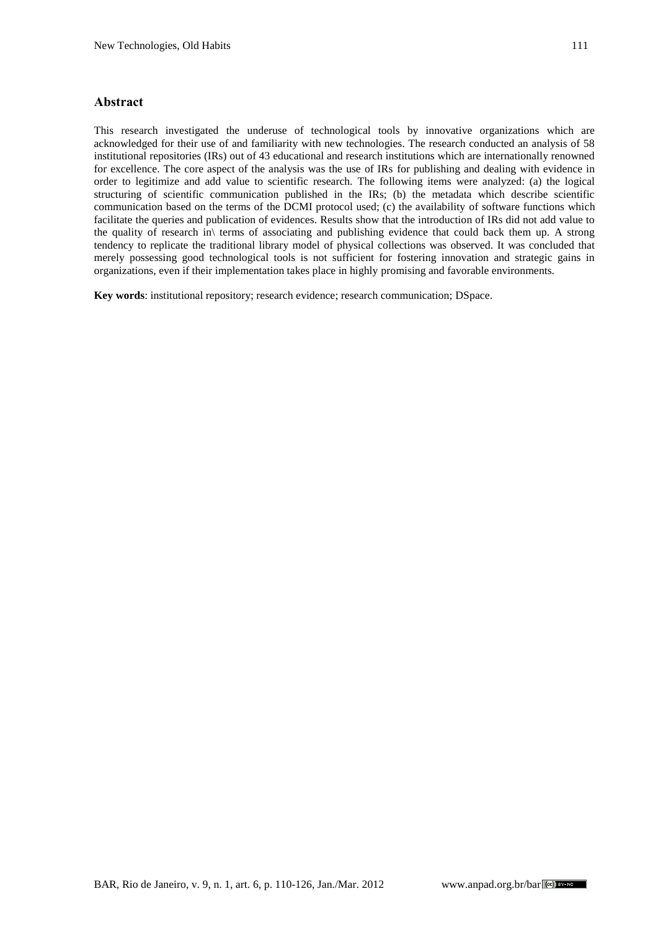#### **Abstract**

This research investigated the underuse of technological tools by innovative organizations which are acknowledged for their use of and familiarity with new technologies. The research conducted an analysis of 58 institutional repositories (IRs) out of 43 educational and research institutions which are internationally renowned for excellence. The core aspect of the analysis was the use of IRs for publishing and dealing with evidence in order to legitimize and add value to scientific research. The following items were analyzed: (a) the logical structuring of scientific communication published in the IRs; (b) the metadata which describe scientific communication based on the terms of the DCMI protocol used; (c) the availability of software functions which facilitate the queries and publication of evidences. Results show that the introduction of IRs did not add value to the quality of research in\ terms of associating and publishing evidence that could back them up. A strong tendency to replicate the traditional library model of physical collections was observed. It was concluded that merely possessing good technological tools is not sufficient for fostering innovation and strategic gains in organizations, even if their implementation takes place in highly promising and favorable environments.

**Key words**: institutional repository; research evidence; research communication; DSpace.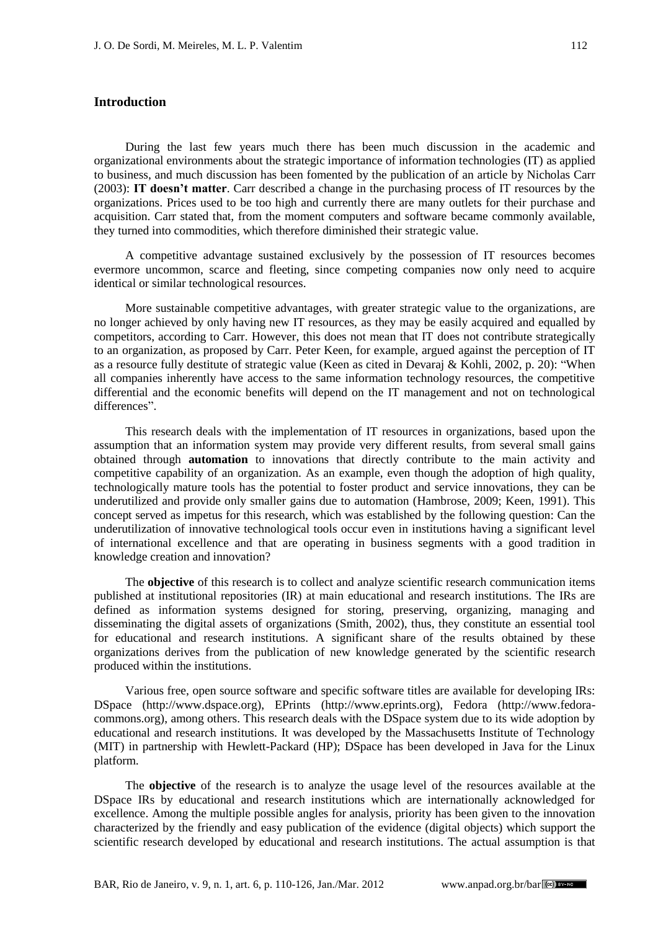## **Introduction**

During the last few years much there has been much discussion in the academic and organizational environments about the strategic importance of information technologies (IT) as applied to business, and much discussion has been fomented by the publication of an article by Nicholas Carr (2003): **IT doesn't matter**. Carr described a change in the purchasing process of IT resources by the organizations. Prices used to be too high and currently there are many outlets for their purchase and acquisition. Carr stated that, from the moment computers and software became commonly available, they turned into commodities*,* which therefore diminished their strategic value.

A competitive advantage sustained exclusively by the possession of IT resources becomes evermore uncommon, scarce and fleeting, since competing companies now only need to acquire identical or similar technological resources.

More sustainable competitive advantages, with greater strategic value to the organizations, are no longer achieved by only having new IT resources, as they may be easily acquired and equalled by competitors, according to Carr. However, this does not mean that IT does not contribute strategically to an organization, as proposed by Carr. Peter Keen, for example, argued against the perception of IT as a resource fully destitute of strategic value (Keen as cited in Devaraj & Kohli, 2002, p. 20): "When all companies inherently have access to the same information technology resources, the competitive differential and the economic benefits will depend on the IT management and not on technological differences".

This research deals with the implementation of IT resources in organizations, based upon the assumption that an information system may provide very different results, from several small gains obtained through **automation** to innovations that directly contribute to the main activity and competitive capability of an organization. As an example, even though the adoption of high quality, technologically mature tools has the potential to foster product and service innovations, they can be underutilized and provide only smaller gains due to automation (Hambrose, 2009; Keen, 1991). This concept served as impetus for this research, which was established by the following question: Can the underutilization of innovative technological tools occur even in institutions having a significant level of international excellence and that are operating in business segments with a good tradition in knowledge creation and innovation?

The **objective** of this research is to collect and analyze scientific research communication items published at institutional repositories (IR) at main educational and research institutions. The IRs are defined as information systems designed for storing, preserving, organizing, managing and disseminating the digital assets of organizations (Smith, 2002), thus, they constitute an essential tool for educational and research institutions. A significant share of the results obtained by these organizations derives from the publication of new knowledge generated by the scientific research produced within the institutions.

Various free, open source software and specific software titles are available for developing IRs: DSpace [\(http://www.dspace.org\)](http://www.dspace.org/), EPrints [\(http://www.eprints.org\)](http://www.eprints.org/), Fedora [\(http://www.fedora](http://www.fedora-commons.org/)[commons.org\)](http://www.fedora-commons.org/), among others. This research deals with the DSpace system due to its wide adoption by educational and research institutions. It was developed by the Massachusetts Institute of Technology (MIT) in partnership with Hewlett-Packard (HP); DSpace has been developed in Java for the Linux platform.

The **objective** of the research is to analyze the usage level of the resources available at the DSpace IRs by educational and research institutions which are internationally acknowledged for excellence. Among the multiple possible angles for analysis, priority has been given to the innovation characterized by the friendly and easy publication of the evidence (digital objects) which support the scientific research developed by educational and research institutions. The actual assumption is that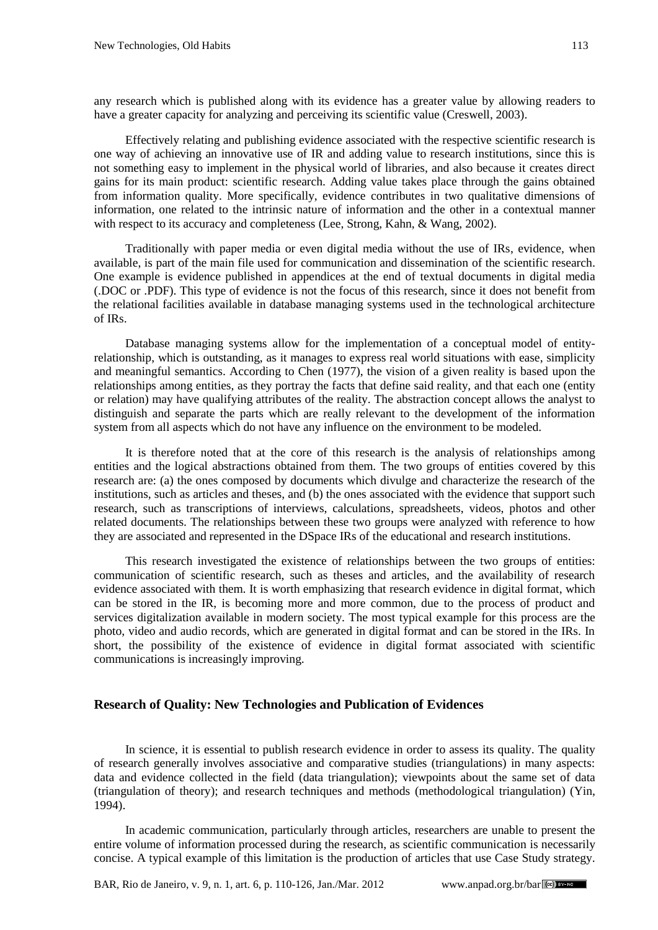any research which is published along with its evidence has a greater value by allowing readers to have a greater capacity for analyzing and perceiving its scientific value (Creswell, 2003).

Effectively relating and publishing evidence associated with the respective scientific research is one way of achieving an innovative use of IR and adding value to research institutions, since this is not something easy to implement in the physical world of libraries, and also because it creates direct gains for its main product: scientific research. Adding value takes place through the gains obtained from information quality. More specifically, evidence contributes in two qualitative dimensions of information, one related to the intrinsic nature of information and the other in a contextual manner with respect to its accuracy and completeness (Lee, Strong, Kahn, & Wang, 2002).

Traditionally with paper media or even digital media without the use of IRs, evidence, when available, is part of the main file used for communication and dissemination of the scientific research. One example is evidence published in appendices at the end of textual documents in digital media (.DOC or .PDF). This type of evidence is not the focus of this research, since it does not benefit from the relational facilities available in database managing systems used in the technological architecture of IRs.

Database managing systems allow for the implementation of a conceptual model of entityrelationship, which is outstanding, as it manages to express real world situations with ease, simplicity and meaningful semantics. According to Chen (1977), the vision of a given reality is based upon the relationships among entities, as they portray the facts that define said reality, and that each one (entity or relation) may have qualifying attributes of the reality. The abstraction concept allows the analyst to distinguish and separate the parts which are really relevant to the development of the information system from all aspects which do not have any influence on the environment to be modeled.

It is therefore noted that at the core of this research is the analysis of relationships among entities and the logical abstractions obtained from them. The two groups of entities covered by this research are: (a) the ones composed by documents which divulge and characterize the research of the institutions, such as articles and theses, and (b) the ones associated with the evidence that support such research, such as transcriptions of interviews, calculations, spreadsheets, videos, photos and other related documents. The relationships between these two groups were analyzed with reference to how they are associated and represented in the DSpace IRs of the educational and research institutions.

This research investigated the existence of relationships between the two groups of entities: communication of scientific research, such as theses and articles, and the availability of research evidence associated with them. It is worth emphasizing that research evidence in digital format, which can be stored in the IR, is becoming more and more common, due to the process of product and services digitalization available in modern society. The most typical example for this process are the photo, video and audio records, which are generated in digital format and can be stored in the IRs. In short, the possibility of the existence of evidence in digital format associated with scientific communications is increasingly improving.

#### **Research of Quality: New Technologies and Publication of Evidences**

In science, it is essential to publish research evidence in order to assess its quality. The quality of research generally involves associative and comparative studies (triangulations) in many aspects: data and evidence collected in the field (data triangulation); viewpoints about the same set of data (triangulation of theory); and research techniques and methods (methodological triangulation) (Yin, 1994).

In academic communication, particularly through articles, researchers are unable to present the entire volume of information processed during the research, as scientific communication is necessarily concise. A typical example of this limitation is the production of articles that use Case Study strategy.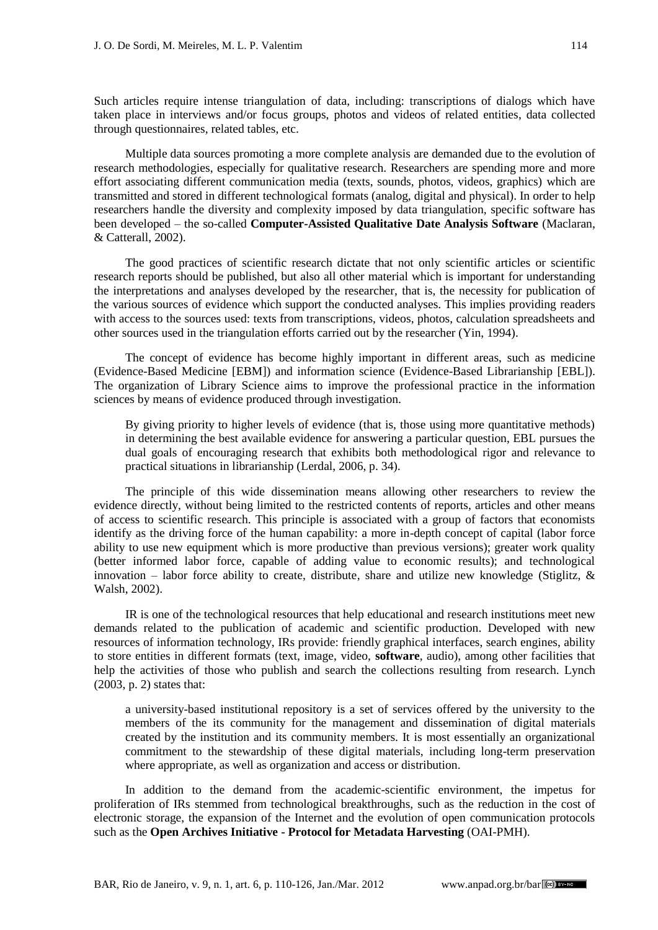Such articles require intense triangulation of data, including: transcriptions of dialogs which have taken place in interviews and/or focus groups, photos and videos of related entities, data collected through questionnaires, related tables, etc.

Multiple data sources promoting a more complete analysis are demanded due to the evolution of research methodologies, especially for qualitative research. Researchers are spending more and more effort associating different communication media (texts, sounds, photos, videos, graphics) which are transmitted and stored in different technological formats (analog, digital and physical). In order to help researchers handle the diversity and complexity imposed by data triangulation, specific software has been developed – the so-called **Computer-Assisted Qualitative Date Analysis Software** (Maclaran, & Catterall, 2002).

The good practices of scientific research dictate that not only scientific articles or scientific research reports should be published, but also all other material which is important for understanding the interpretations and analyses developed by the researcher, that is, the necessity for publication of the various sources of evidence which support the conducted analyses. This implies providing readers with access to the sources used: texts from transcriptions, videos, photos, calculation spreadsheets and other sources used in the triangulation efforts carried out by the researcher (Yin, 1994).

The concept of evidence has become highly important in different areas, such as medicine (Evidence-Based Medicine [EBM]) and information science (Evidence-Based Librarianship [EBL]). The organization of Library Science aims to improve the professional practice in the information sciences by means of evidence produced through investigation.

By giving priority to higher levels of evidence (that is, those using more quantitative methods) in determining the best available evidence for answering a particular question, EBL pursues the dual goals of encouraging research that exhibits both methodological rigor and relevance to practical situations in librarianship (Lerdal, 2006, p. 34).

The principle of this wide dissemination means allowing other researchers to review the evidence directly, without being limited to the restricted contents of reports, articles and other means of access to scientific research. This principle is associated with a group of factors that economists identify as the driving force of the human capability: a more in-depth concept of capital (labor force ability to use new equipment which is more productive than previous versions); greater work quality (better informed labor force, capable of adding value to economic results); and technological innovation – labor force ability to create, distribute, share and utilize new knowledge (Stiglitz,  $\&$ Walsh, 2002).

IR is one of the technological resources that help educational and research institutions meet new demands related to the publication of academic and scientific production. Developed with new resources of information technology, IRs provide: friendly graphical interfaces, search engines, ability to store entities in different formats (text, image, video, **software**, audio), among other facilities that help the activities of those who publish and search the collections resulting from research. Lynch (2003, p. 2) states that:

a university-based institutional repository is a set of services offered by the university to the members of the its community for the management and dissemination of digital materials created by the institution and its community members. It is most essentially an organizational commitment to the stewardship of these digital materials, including long-term preservation where appropriate, as well as organization and access or distribution.

In addition to the demand from the academic-scientific environment, the impetus for proliferation of IRs stemmed from technological breakthroughs, such as the reduction in the cost of electronic storage, the expansion of the Internet and the evolution of open communication protocols such as the **Open Archives Initiative - Protocol for Metadata Harvesting** (OAI-PMH).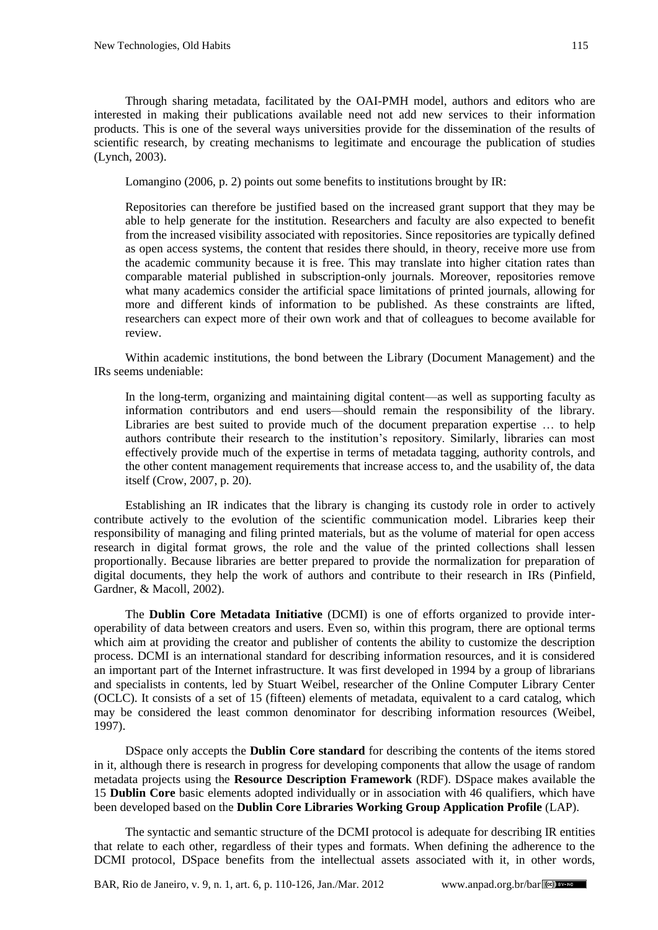Through sharing metadata, facilitated by the OAI-PMH model, authors and editors who are interested in making their publications available need not add new services to their information products. This is one of the several ways universities provide for the dissemination of the results of scientific research, by creating mechanisms to legitimate and encourage the publication of studies (Lynch, 2003).

Lomangino (2006, p. 2) points out some benefits to institutions brought by IR:

Repositories can therefore be justified based on the increased grant support that they may be able to help generate for the institution. Researchers and faculty are also expected to benefit from the increased visibility associated with repositories. Since repositories are typically defined as open access systems, the content that resides there should, in theory, receive more use from the academic community because it is free. This may translate into higher citation rates than comparable material published in subscription-only journals. Moreover, repositories remove what many academics consider the artificial space limitations of printed journals, allowing for more and different kinds of information to be published. As these constraints are lifted, researchers can expect more of their own work and that of colleagues to become available for review.

Within academic institutions, the bond between the Library (Document Management) and the IRs seems undeniable:

In the long-term, organizing and maintaining digital content—as well as supporting faculty as information contributors and end users—should remain the responsibility of the library. Libraries are best suited to provide much of the document preparation expertise … to help authors contribute their research to the institution's repository. Similarly, libraries can most effectively provide much of the expertise in terms of metadata tagging, authority controls, and the other content management requirements that increase access to, and the usability of, the data itself (Crow, 2007, p. 20).

Establishing an IR indicates that the library is changing its custody role in order to actively contribute actively to the evolution of the scientific communication model. Libraries keep their responsibility of managing and filing printed materials, but as the volume of material for open access research in digital format grows, the role and the value of the printed collections shall lessen proportionally. Because libraries are better prepared to provide the normalization for preparation of digital documents, they help the work of authors and contribute to their research in IRs (Pinfield, Gardner, & Macoll, 2002).

The **Dublin Core Metadata Initiative** (DCMI) is one of efforts organized to provide interoperability of data between creators and users. Even so, within this program, there are optional terms which aim at providing the creator and publisher of contents the ability to customize the description process. DCMI is an international standard for describing information resources, and it is considered an important part of the Internet infrastructure. It was first developed in 1994 by a group of librarians and specialists in contents, led by Stuart Weibel, researcher of the Online Computer Library Center (OCLC). It consists of a set of 15 (fifteen) elements of metadata, equivalent to a card catalog, which may be considered the least common denominator for describing information resources (Weibel, 1997).

DSpace only accepts the **Dublin Core standard** for describing the contents of the items stored in it, although there is research in progress for developing components that allow the usage of random metadata projects using the **Resource Description Framework** (RDF). DSpace makes available the 15 **Dublin Core** basic elements adopted individually or in association with 46 qualifiers, which have been developed based on the **Dublin Core Libraries Working Group Application Profile** (LAP).

The syntactic and semantic structure of the DCMI protocol is adequate for describing IR entities that relate to each other, regardless of their types and formats. When defining the adherence to the DCMI protocol, DSpace benefits from the intellectual assets associated with it, in other words,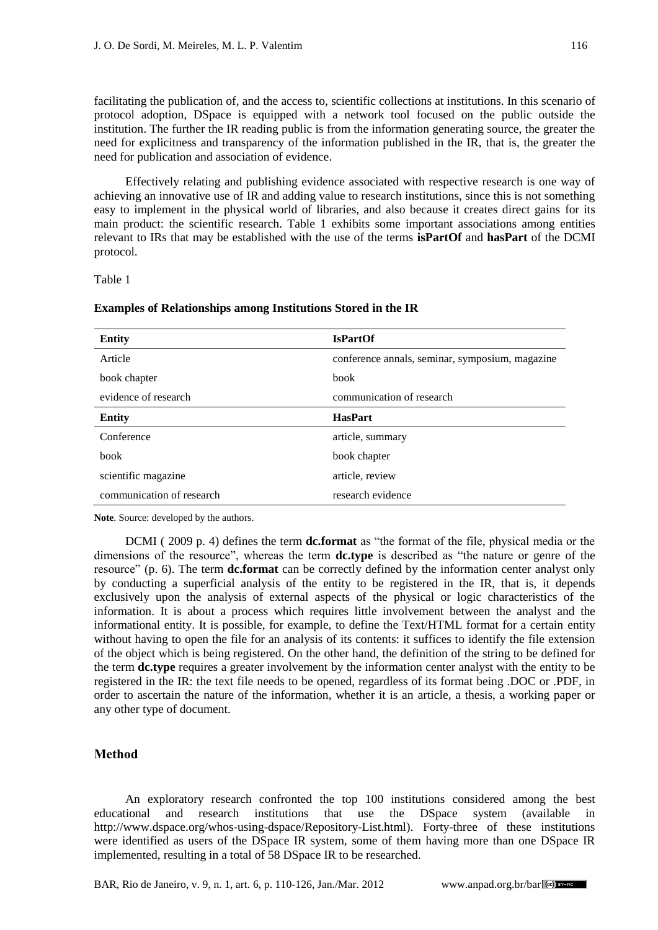facilitating the publication of, and the access to, scientific collections at institutions. In this scenario of protocol adoption, DSpace is equipped with a network tool focused on the public outside the institution. The further the IR reading public is from the information generating source, the greater the need for explicitness and transparency of the information published in the IR, that is, the greater the need for publication and association of evidence.

Effectively relating and publishing evidence associated with respective research is one way of achieving an innovative use of IR and adding value to research institutions, since this is not something easy to implement in the physical world of libraries, and also because it creates direct gains for its main product: the scientific research. Table 1 exhibits some important associations among entities relevant to IRs that may be established with the use of the terms **isPartOf** and **hasPart** of the DCMI protocol.

Table 1

| <b>Entity</b>             | <b>IsPartOf</b>                                 |
|---------------------------|-------------------------------------------------|
| Article                   | conference annals, seminar, symposium, magazine |
| book chapter              | <b>book</b>                                     |
| evidence of research      | communication of research                       |
| <b>Entity</b>             | <b>HasPart</b>                                  |
| Conference                | article, summary                                |
| book                      | book chapter                                    |
| scientific magazine       | article, review                                 |
| communication of research | research evidence                               |

#### **Examples of Relationships among Institutions Stored in the IR**

**Note**. Source: developed by the authors.

DCMI ( 2009 p. 4) defines the term **dc.format** as "the format of the file, physical media or the dimensions of the resource", whereas the term **dc.type** is described as "the nature or genre of the resource" (p. 6). The term **dc.format** can be correctly defined by the information center analyst only by conducting a superficial analysis of the entity to be registered in the IR, that is, it depends exclusively upon the analysis of external aspects of the physical or logic characteristics of the information. It is about a process which requires little involvement between the analyst and the informational entity. It is possible, for example, to define the Text/HTML format for a certain entity without having to open the file for an analysis of its contents: it suffices to identify the file extension of the object which is being registered. On the other hand, the definition of the string to be defined for the term **dc.type** requires a greater involvement by the information center analyst with the entity to be registered in the IR: the text file needs to be opened, regardless of its format being .DOC or .PDF, in order to ascertain the nature of the information, whether it is an article, a thesis, a working paper or any other type of document.

## **Method**

An exploratory research confronted the top 100 institutions considered among the best educational and research institutions that use the DSpace system (available in [http://www.dspace.org/whos-using-dspace/Repository-List.html\)](http://www.dspace.org/whos-using-dspace/Repository-List.html). Forty-three of these institutions were identified as users of the DSpace IR system, some of them having more than one DSpace IR implemented, resulting in a total of 58 DSpace IR to be researched.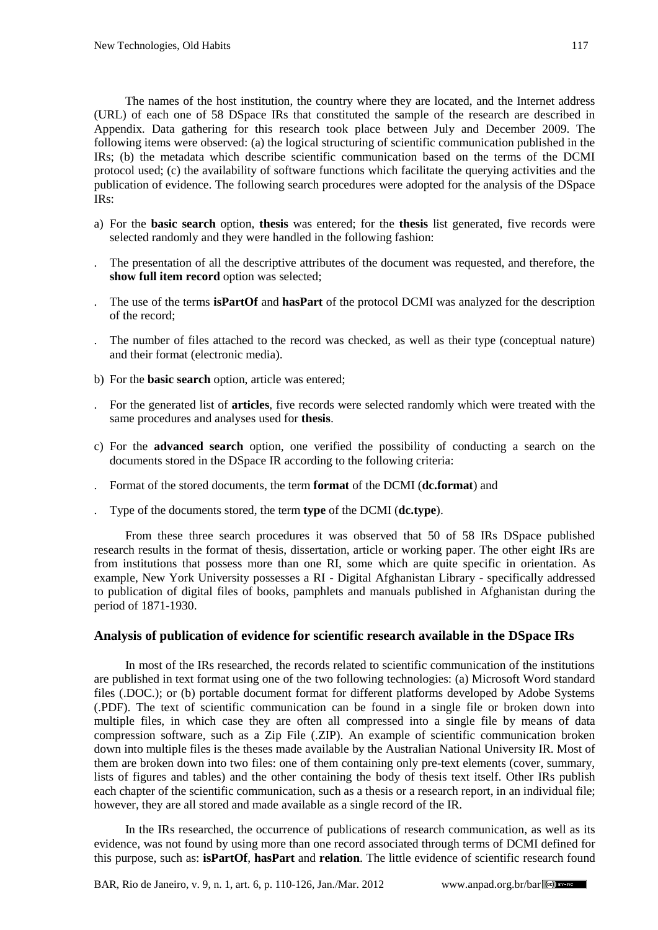The names of the host institution, the country where they are located, and the Internet address (URL) of each one of 58 DSpace IRs that constituted the sample of the research are described in Appendix. Data gathering for this research took place between July and December 2009. The following items were observed: (a) the logical structuring of scientific communication published in the IRs; (b) the metadata which describe scientific communication based on the terms of the DCMI protocol used; (c) the availability of software functions which facilitate the querying activities and the publication of evidence. The following search procedures were adopted for the analysis of the DSpace IRs:

- a) For the **basic search** option, **thesis** was entered; for the **thesis** list generated, five records were selected randomly and they were handled in the following fashion:
- . The presentation of all the descriptive attributes of the document was requested, and therefore, the **show full item record** option was selected;
- . The use of the terms **isPartOf** and **hasPart** of the protocol DCMI was analyzed for the description of the record;
- . The number of files attached to the record was checked, as well as their type (conceptual nature) and their format (electronic media).
- b) For the **basic search** option, article was entered;
- . For the generated list of **articles**, five records were selected randomly which were treated with the same procedures and analyses used for **thesis**.
- c) For the **advanced search** option, one verified the possibility of conducting a search on the documents stored in the DSpace IR according to the following criteria:
- . Format of the stored documents, the term **format** of the DCMI (**dc.format**) and
- . Type of the documents stored, the term **type** of the DCMI (**dc.type**).

From these three search procedures it was observed that 50 of 58 IRs DSpace published research results in the format of thesis, dissertation, article or working paper. The other eight IRs are from institutions that possess more than one RI, some which are quite specific in orientation. As example, New York University possesses a RI - Digital Afghanistan Library - specifically addressed to publication of digital files of books, pamphlets and manuals published in Afghanistan during the period of 1871-1930.

## **Analysis of publication of evidence for scientific research available in the DSpace IRs**

In most of the IRs researched, the records related to scientific communication of the institutions are published in text format using one of the two following technologies: (a) Microsoft Word standard files (.DOC.); or (b) portable document format for different platforms developed by Adobe Systems (.PDF). The text of scientific communication can be found in a single file or broken down into multiple files, in which case they are often all compressed into a single file by means of data compression software, such as a Zip File (.ZIP). An example of scientific communication broken down into multiple files is the theses made available by the Australian National University IR. Most of them are broken down into two files: one of them containing only pre-text elements (cover, summary, lists of figures and tables) and the other containing the body of thesis text itself. Other IRs publish each chapter of the scientific communication, such as a thesis or a research report, in an individual file; however, they are all stored and made available as a single record of the IR.

In the IRs researched, the occurrence of publications of research communication, as well as its evidence, was not found by using more than one record associated through terms of DCMI defined for this purpose, such as: **isPartOf**, **hasPart** and **relation**. The little evidence of scientific research found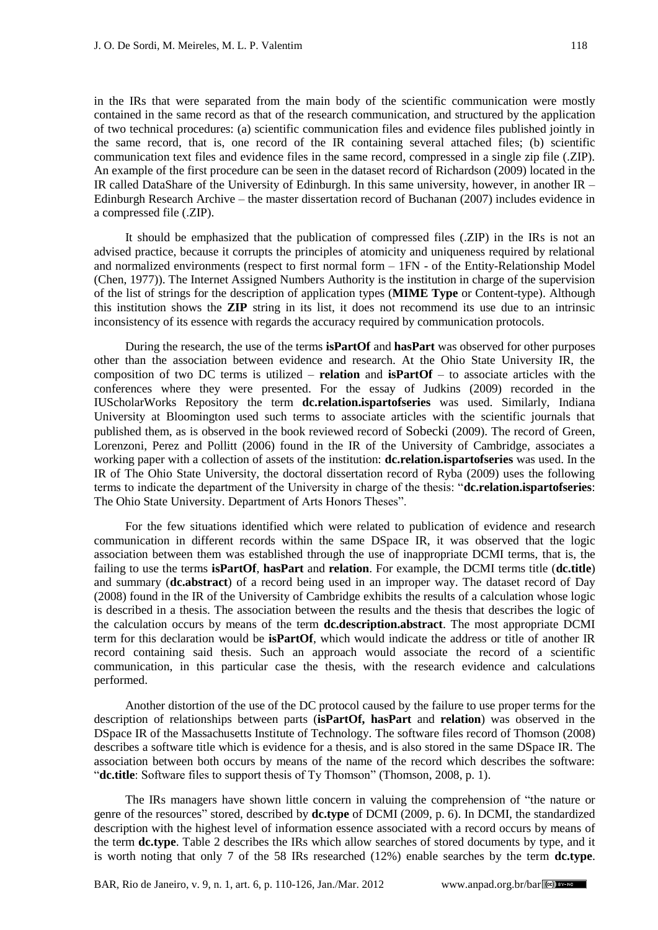in the IRs that were separated from the main body of the scientific communication were mostly contained in the same record as that of the research communication, and structured by the application of two technical procedures: (a) scientific communication files and evidence files published jointly in the same record, that is, one record of the IR containing several attached files; (b) scientific communication text files and evidence files in the same record, compressed in a single zip file (.ZIP). An example of the first procedure can be seen in the dataset record of Richardson (2009) located in the IR called DataShare of the University of Edinburgh. In this same university, however, in another IR – Edinburgh Research Archive – the master dissertation record of Buchanan (2007) includes evidence in a compressed file (.ZIP).

It should be emphasized that the publication of compressed files (.ZIP) in the IRs is not an advised practice, because it corrupts the principles of atomicity and uniqueness required by relational and normalized environments (respect to first normal form – 1FN - of the Entity-Relationship Model (Chen, 1977)). The Internet Assigned Numbers Authority is the institution in charge of the supervision of the list of strings for the description of application types (**MIME Type** or Content-type). Although this institution shows the **ZIP** string in its list, it does not recommend its use due to an intrinsic inconsistency of its essence with regards the accuracy required by communication protocols.

During the research, the use of the terms **isPartOf** and **hasPart** was observed for other purposes other than the association between evidence and research. At the Ohio State University IR, the composition of two DC terms is utilized – **relation** and **isPartOf** – to associate articles with the conferences where they were presented. For the essay of Judkins (2009) recorded in the IUScholarWorks Repository the term **dc.relation.ispartofseries** was used. Similarly, Indiana University at Bloomington used such terms to associate articles with the scientific journals that published them, as is observed in the book reviewed record of Sobecki (2009). The record of Green, Lorenzoni, Perez and Pollitt (2006) found in the IR of the University of Cambridge, associates a working paper with a collection of assets of the institution: **dc.relation.ispartofseries** was used. In the IR of The Ohio State University, the doctoral dissertation record of Ryba (2009) uses the following terms to indicate the department of the University in charge of the thesis: "**dc.relation.ispartofseries**: The Ohio State University. Department of Arts Honors Theses".

For the few situations identified which were related to publication of evidence and research communication in different records within the same DSpace IR, it was observed that the logic association between them was established through the use of inappropriate DCMI terms, that is, the failing to use the terms **isPartOf**, **hasPart** and **relation**. For example, the DCMI terms title (**dc.title**) and summary (**dc.abstract**) of a record being used in an improper way. The dataset record of Day (2008) found in the IR of the University of Cambridge exhibits the results of a calculation whose logic is described in a thesis. The association between the results and the thesis that describes the logic of the calculation occurs by means of the term **dc.description.abstract**. The most appropriate DCMI term for this declaration would be **isPartOf**, which would indicate the address or title of another IR record containing said thesis. Such an approach would associate the record of a scientific communication, in this particular case the thesis, with the research evidence and calculations performed.

Another distortion of the use of the DC protocol caused by the failure to use proper terms for the description of relationships between parts (**isPartOf, hasPart** and **relation**) was observed in the DSpace IR of the Massachusetts Institute of Technology. The software files record of Thomson (2008) describes a software title which is evidence for a thesis, and is also stored in the same DSpace IR. The association between both occurs by means of the name of the record which describes the software: "**dc.title**: Software files to support thesis of Ty Thomson" (Thomson, 2008, p. 1).

The IRs managers have shown little concern in valuing the comprehension of "the nature or genre of the resources" stored, described by **dc.type** of DCMI (2009, p. 6). In DCMI, the standardized description with the highest level of information essence associated with a record occurs by means of the term **dc.type**. Table 2 describes the IRs which allow searches of stored documents by type, and it is worth noting that only 7 of the 58 IRs researched (12%) enable searches by the term **dc.type**.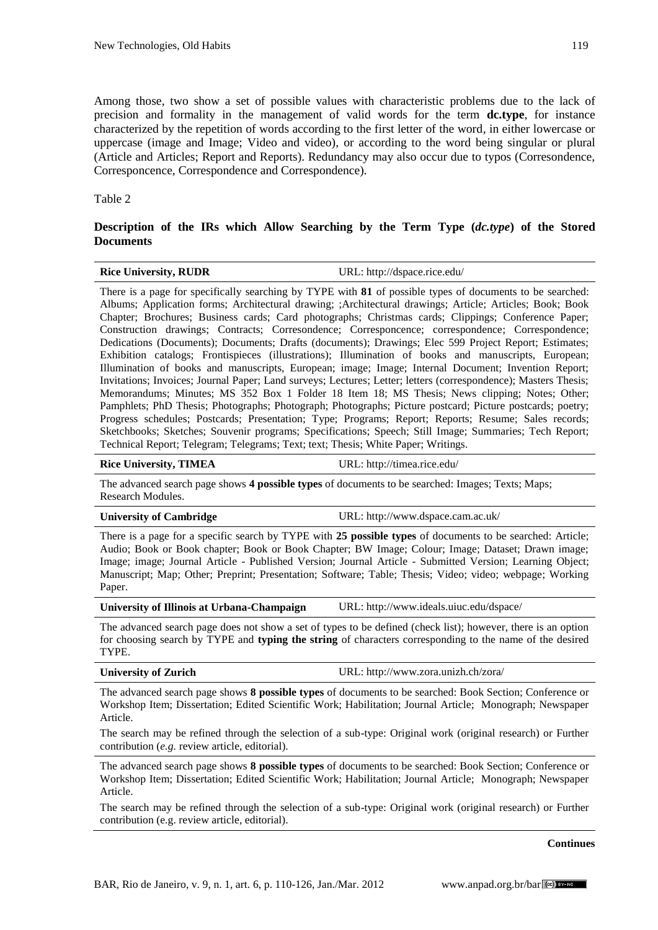Among those, two show a set of possible values with characteristic problems due to the lack of precision and formality in the management of valid words for the term **dc.type**, for instance characterized by the repetition of words according to the first letter of the word, in either lowercase or uppercase (image and Image; Video and video), or according to the word being singular or plural (Article and Articles; Report and Reports). Redundancy may also occur due to typos (Corresondence, Corresponcence, Correspondence and Correspondence).

Table 2

## **Description of the IRs which Allow Searching by the Term Type (***dc.type***) of the Stored Documents**

| <b>Rice University, RUDR</b> | URL: http://dspace.rice.edu/ |  |
|------------------------------|------------------------------|--|
|------------------------------|------------------------------|--|

There is a page for specifically searching by TYPE with **81** of possible types of documents to be searched: Albums; Application forms; Architectural drawing; ;Architectural drawings; Article; Articles; Book; Book Chapter; Brochures; Business cards; Card photographs; Christmas cards; Clippings; Conference Paper; Construction drawings; Contracts; Corresondence; Corresponcence; correspondence; Correspondence; Dedications (Documents); Documents; Drafts (documents); Drawings; Elec 599 Project Report; Estimates; Exhibition catalogs; Frontispieces (illustrations); Illumination of books and manuscripts, European; Illumination of books and manuscripts, European; image; Image; Internal Document; Invention Report; Invitations; Invoices; Journal Paper; Land surveys; Lectures; Letter; letters (correspondence); Masters Thesis; Memorandums; Minutes; MS 352 Box 1 Folder 18 Item 18; MS Thesis; News clipping; Notes; Other; Pamphlets; PhD Thesis; Photographs; Photograph; Photographs; Picture postcard; Picture postcards; poetry; Progress schedules; Postcards; Presentation; Type; Programs; Report; Reports; Resume; Sales records; Sketchbooks; Sketches; Souvenir programs; Specifications; Speech; Still Image; Summaries; Tech Report; Technical Report; Telegram; Telegrams; Text; text; Thesis; White Paper; Writings.

#### **Rice University, TIMEA** URL: http://timea.rice.edu/

The advanced search page shows **4 possible types** of documents to be searched: Images; Texts; Maps; Research Modules.

**University of Cambridge** URL: http://www.dspace.cam.ac.uk/

There is a page for a specific search by TYPE with **25 possible types** of documents to be searched: Article; Audio; Book or Book chapter; Book or Book Chapter; BW Image; Colour; Image; Dataset; Drawn image; Image; image; Journal Article - Published Version; Journal Article - Submitted Version; Learning Object; Manuscript; Map; Other; Preprint; Presentation; Software; Table; Thesis; Video; video; webpage; Working Paper.

**University of Illinois at Urbana-Champaign** URL: http://www.ideals.uiuc.edu/dspace/

The advanced search page does not show a set of types to be defined (check list); however, there is an option for choosing search by TYPE and **typing the string** of characters corresponding to the name of the desired TYPE.

| <b>University of Zurich</b> | URL: http://www.zora.unizh.ch/zora/ |
|-----------------------------|-------------------------------------|
|-----------------------------|-------------------------------------|

The advanced search page shows **8 possible types** of documents to be searched: Book Section; Conference or Workshop Item; Dissertation; Edited Scientific Work; Habilitation; Journal Article; Monograph; Newspaper Article.

The search may be refined through the selection of a sub-type: Original work (original research) or Further contribution (*e.g.* review article, editorial).

The advanced search page shows **8 possible types** of documents to be searched: Book Section; Conference or Workshop Item; Dissertation; Edited Scientific Work; Habilitation; Journal Article; Monograph; Newspaper Article.

The search may be refined through the selection of a sub-type: Original work (original research) or Further contribution (e.g. review article, editorial).

**Continues**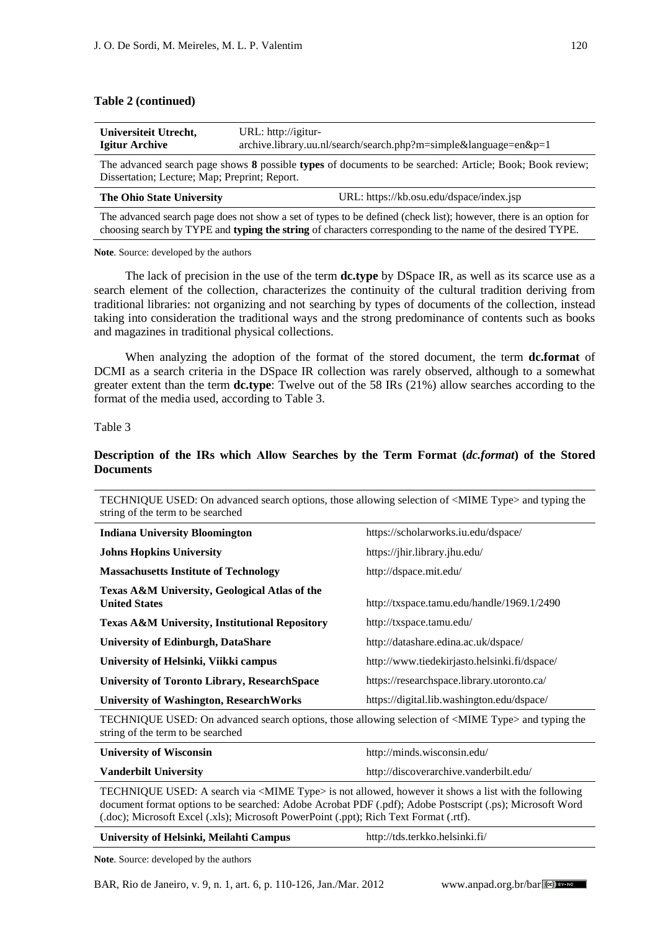#### **Table 2 (continued)**

| Universiteit Utrecht,<br><b>Igitur Archive</b>                                                                                                                                                                                  | URL: $http://igitur-$<br>archive.library.uu.nl/search/search.php?m=simple&language=en&p=1 |  |
|---------------------------------------------------------------------------------------------------------------------------------------------------------------------------------------------------------------------------------|-------------------------------------------------------------------------------------------|--|
| The advanced search page shows 8 possible types of documents to be searched: Article; Book; Book review;<br>Dissertation; Lecture; Map; Preprint; Report.                                                                       |                                                                                           |  |
| URL: https://kb.osu.edu/dspace/index.jsp<br>The Ohio State University                                                                                                                                                           |                                                                                           |  |
| The advanced search page does not show a set of types to be defined (check list); however, there is an option for<br>choosing search by TYPE and typing the string of characters corresponding to the name of the desired TYPE. |                                                                                           |  |

#### **Note**. Source: developed by the authors

The lack of precision in the use of the term **dc.type** by DSpace IR, as well as its scarce use as a search element of the collection, characterizes the continuity of the cultural tradition deriving from traditional libraries: not organizing and not searching by types of documents of the collection, instead taking into consideration the traditional ways and the strong predominance of contents such as books and magazines in traditional physical collections.

When analyzing the adoption of the format of the stored document, the term **dc.format** of DCMI as a search criteria in the DSpace IR collection was rarely observed, although to a somewhat greater extent than the term **dc.type**: Twelve out of the 58 IRs (21%) allow searches according to the format of the media used, according to Table 3.

#### Table 3

### **Description of the IRs which Allow Searches by the Term Format (***dc.format***) of the Stored Documents**

| TECHNIQUE USED: On advanced search options, those allowing selection of <mime type=""> and typing the<br/>string of the term to be searched</mime> |                                              |
|----------------------------------------------------------------------------------------------------------------------------------------------------|----------------------------------------------|
| <b>Indiana University Bloomington</b>                                                                                                              | https://scholarworks.iu.edu/dspace/          |
| <b>Johns Hopkins University</b>                                                                                                                    | https://jhir.library.jhu.edu/                |
| <b>Massachusetts Institute of Technology</b>                                                                                                       | http://dspace.mit.edu/                       |
| Texas A&M University, Geological Atlas of the<br><b>United States</b>                                                                              | http://txspace.tamu.edu/handle/1969.1/2490   |
| <b>Texas A&amp;M University, Institutional Repository</b>                                                                                          | http://txspace.tamu.edu/                     |
| University of Edinburgh, DataShare                                                                                                                 | http://datashare.edina.ac.uk/dspace/         |
| University of Helsinki, Viikki campus                                                                                                              | http://www.tiedekirjasto.helsinki.fi/dspace/ |
| <b>University of Toronto Library, ResearchSpace</b>                                                                                                | https://researchspace.library.utoronto.ca/   |
| <b>University of Washington, ResearchWorks</b>                                                                                                     | https://digital.lib.washington.edu/dspace/   |

TECHNIQUE USED: On advanced search options, those allowing selection of <MIME Type> and typing the string of the term to be searched

| University of Wisconsin      | http://minds.wisconsin.edu/            |
|------------------------------|----------------------------------------|
| <b>Vanderbilt University</b> | http://discoverarchive.vanderbilt.edu/ |

TECHNIQUE USED: A search via <MIME Type> is not allowed, however it shows a list with the following document format options to be searched: Adobe Acrobat PDF (.pdf); Adobe Postscript (.ps); Microsoft Word (.doc); Microsoft Excel (.xls); Microsoft PowerPoint (.ppt); Rich Text Format (.rtf).

| University of Helsinki, Meilahti Campus |  |  |
|-----------------------------------------|--|--|
|                                         |  |  |

**University of Helsinki, Meilahti Campus** http://tds.terkko.helsinki.fi/

**Note**. Source: developed by the authors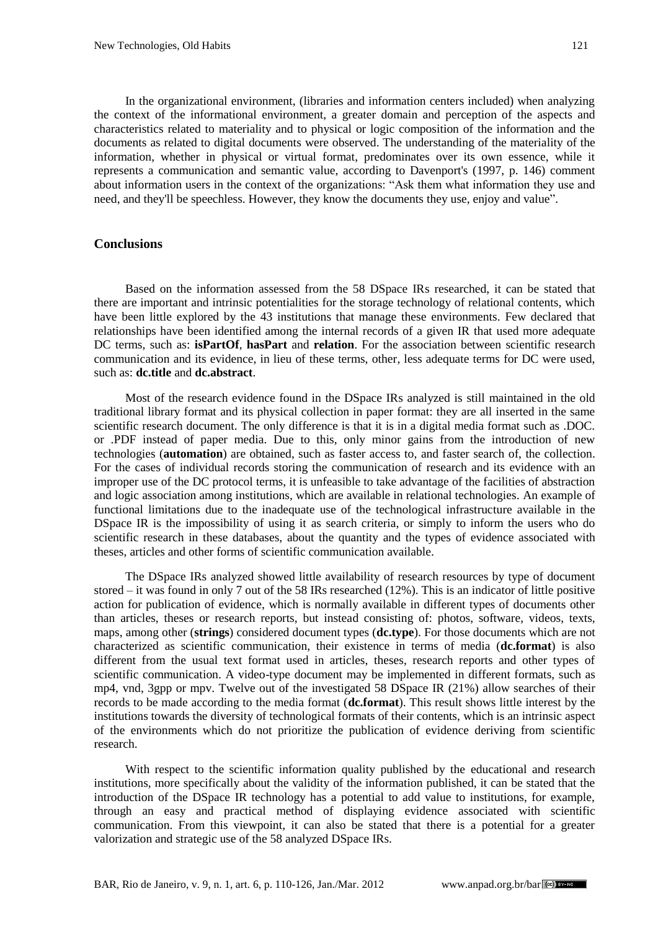In the organizational environment, (libraries and information centers included) when analyzing the context of the informational environment, a greater domain and perception of the aspects and characteristics related to materiality and to physical or logic composition of the information and the documents as related to digital documents were observed. The understanding of the materiality of the information, whether in physical or virtual format, predominates over its own essence, while it represents a communication and semantic value, according to Davenport's (1997, p. 146) comment about information users in the context of the organizations: "Ask them what information they use and need, and they'll be speechless. However, they know the documents they use, enjoy and value".

#### **Conclusions**

Based on the information assessed from the 58 DSpace IRs researched, it can be stated that there are important and intrinsic potentialities for the storage technology of relational contents, which have been little explored by the 43 institutions that manage these environments. Few declared that relationships have been identified among the internal records of a given IR that used more adequate DC terms, such as: **isPartOf**, **hasPart** and **relation**. For the association between scientific research communication and its evidence, in lieu of these terms, other, less adequate terms for DC were used, such as: **dc.title** and **dc.abstract**.

Most of the research evidence found in the DSpace IRs analyzed is still maintained in the old traditional library format and its physical collection in paper format: they are all inserted in the same scientific research document. The only difference is that it is in a digital media format such as .DOC. or .PDF instead of paper media. Due to this, only minor gains from the introduction of new technologies (**automation**) are obtained, such as faster access to, and faster search of, the collection. For the cases of individual records storing the communication of research and its evidence with an improper use of the DC protocol terms, it is unfeasible to take advantage of the facilities of abstraction and logic association among institutions, which are available in relational technologies. An example of functional limitations due to the inadequate use of the technological infrastructure available in the DSpace IR is the impossibility of using it as search criteria, or simply to inform the users who do scientific research in these databases, about the quantity and the types of evidence associated with theses, articles and other forms of scientific communication available.

The DSpace IRs analyzed showed little availability of research resources by type of document stored – it was found in only 7 out of the 58 IRs researched (12%). This is an indicator of little positive action for publication of evidence, which is normally available in different types of documents other than articles, theses or research reports, but instead consisting of: photos, software, videos, texts, maps, among other (**strings**) considered document types (**dc.type**). For those documents which are not characterized as scientific communication, their existence in terms of media (**dc.format**) is also different from the usual text format used in articles, theses, research reports and other types of scientific communication. A video-type document may be implemented in different formats, such as mp4, vnd, 3gpp or mpv. Twelve out of the investigated 58 DSpace IR (21%) allow searches of their records to be made according to the media format (**dc.format**). This result shows little interest by the institutions towards the diversity of technological formats of their contents, which is an intrinsic aspect of the environments which do not prioritize the publication of evidence deriving from scientific research.

With respect to the scientific information quality published by the educational and research institutions, more specifically about the validity of the information published, it can be stated that the introduction of the DSpace IR technology has a potential to add value to institutions, for example, through an easy and practical method of displaying evidence associated with scientific communication. From this viewpoint, it can also be stated that there is a potential for a greater valorization and strategic use of the 58 analyzed DSpace IRs.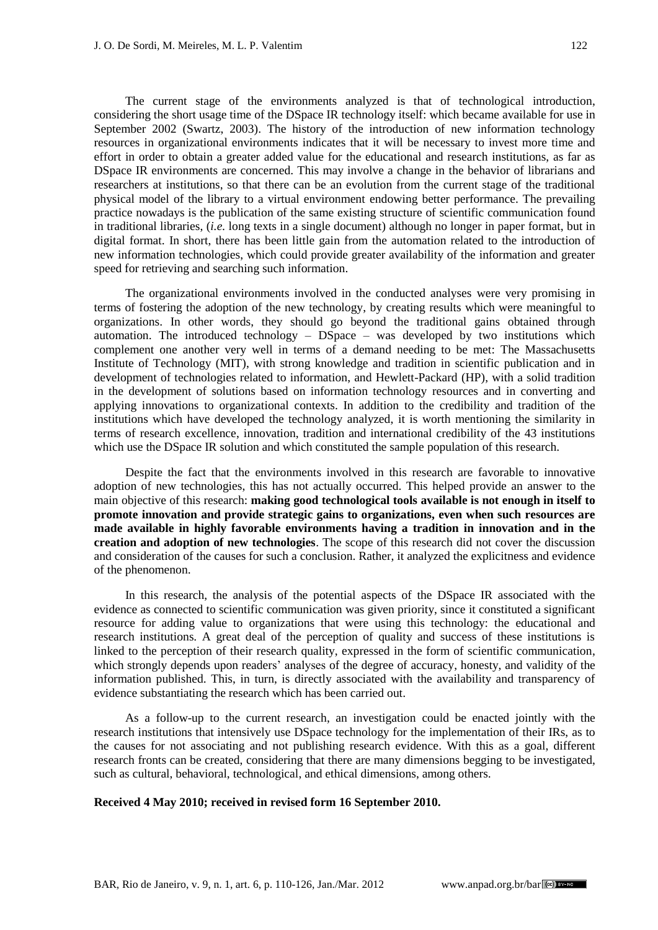The current stage of the environments analyzed is that of technological introduction, considering the short usage time of the DSpace IR technology itself: which became available for use in September 2002 (Swartz, 2003). The history of the introduction of new information technology resources in organizational environments indicates that it will be necessary to invest more time and effort in order to obtain a greater added value for the educational and research institutions, as far as DSpace IR environments are concerned. This may involve a change in the behavior of librarians and researchers at institutions, so that there can be an evolution from the current stage of the traditional physical model of the library to a virtual environment endowing better performance. The prevailing practice nowadays is the publication of the same existing structure of scientific communication found in traditional libraries, (*i.e.* long texts in a single document) although no longer in paper format, but in digital format. In short, there has been little gain from the automation related to the introduction of new information technologies, which could provide greater availability of the information and greater speed for retrieving and searching such information.

The organizational environments involved in the conducted analyses were very promising in terms of fostering the adoption of the new technology, by creating results which were meaningful to organizations. In other words, they should go beyond the traditional gains obtained through automation. The introduced technology – DSpace – was developed by two institutions which complement one another very well in terms of a demand needing to be met: The Massachusetts Institute of Technology (MIT), with strong knowledge and tradition in scientific publication and in development of technologies related to information, and Hewlett-Packard (HP), with a solid tradition in the development of solutions based on information technology resources and in converting and applying innovations to organizational contexts. In addition to the credibility and tradition of the institutions which have developed the technology analyzed, it is worth mentioning the similarity in terms of research excellence, innovation, tradition and international credibility of the 43 institutions which use the DSpace IR solution and which constituted the sample population of this research.

Despite the fact that the environments involved in this research are favorable to innovative adoption of new technologies, this has not actually occurred. This helped provide an answer to the main objective of this research: **making good technological tools available is not enough in itself to promote innovation and provide strategic gains to organizations, even when such resources are made available in highly favorable environments having a tradition in innovation and in the creation and adoption of new technologies**. The scope of this research did not cover the discussion and consideration of the causes for such a conclusion. Rather, it analyzed the explicitness and evidence of the phenomenon.

In this research, the analysis of the potential aspects of the DSpace IR associated with the evidence as connected to scientific communication was given priority, since it constituted a significant resource for adding value to organizations that were using this technology: the educational and research institutions. A great deal of the perception of quality and success of these institutions is linked to the perception of their research quality, expressed in the form of scientific communication, which strongly depends upon readers' analyses of the degree of accuracy, honesty, and validity of the information published. This, in turn, is directly associated with the availability and transparency of evidence substantiating the research which has been carried out.

As a follow-up to the current research, an investigation could be enacted jointly with the research institutions that intensively use DSpace technology for the implementation of their IRs, as to the causes for not associating and not publishing research evidence. With this as a goal, different research fronts can be created, considering that there are many dimensions begging to be investigated, such as cultural, behavioral, technological, and ethical dimensions, among others.

#### **Received 4 May 2010; received in revised form 16 September 2010.**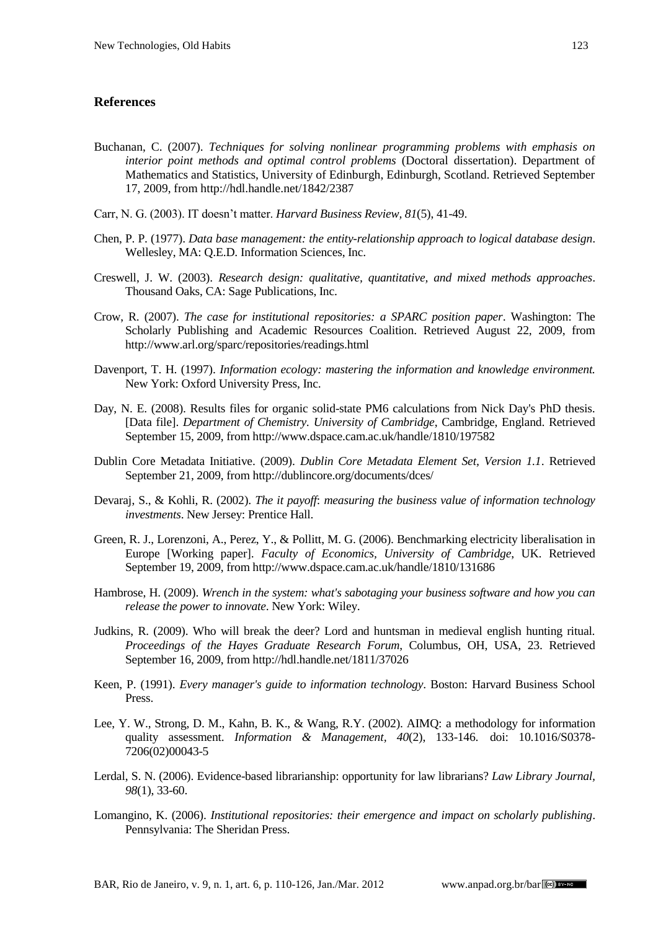## **References**

- Buchanan, C. (2007). *Techniques for solving nonlinear programming problems with emphasis on interior point methods and optimal control problems* (Doctoral dissertation). Department of Mathematics and Statistics, University of Edinburgh, Edinburgh, Scotland. Retrieved September 17, 2009, from http://hdl.handle.net/1842/2387
- Carr, N. G. (2003). IT doesn't matter. *Harvard Business Review, 81*(5), 41-49.
- Chen, P. P. (1977). *Data base management: the entity-relationship approach to logical database design*. Wellesley, MA: Q.E.D. Information Sciences, Inc.
- Creswell, J. W. (2003). *Research design: qualitative, quantitative, and mixed methods approaches*. Thousand Oaks, CA: Sage Publications, Inc.
- Crow, R. (2007). *The case for institutional repositories: a SPARC position paper*. Washington: The Scholarly Publishing and Academic Resources Coalition. Retrieved August 22, 2009, from <http://www.arl.org/sparc/repositories/readings.html>
- Davenport, T. H. (1997). *Information ecology: mastering the information and knowledge environment.*  New York: Oxford University Press, Inc.
- Day, N. E. (2008). Results files for organic solid-state PM6 calculations from Nick Day's PhD thesis. [Data file]. *Department of Chemistry. University of Cambridge*, Cambridge, England. Retrieved September 15, 2009, from http://www.dspace.cam.ac.uk/handle/1810/197582
- Dublin Core Metadata Initiative. (2009). *Dublin Core Metadata Element Set, Version 1.1*. Retrieved September 21, 2009, from<http://dublincore.org/documents/dces/>
- Devaraj, S., & Kohli, R. (2002). *The it payoff*: *measuring the business value of information technology investments*. New Jersey: Prentice Hall.
- Green, R. J., Lorenzoni, A., Perez, Y., & Pollitt, M. G. (2006). Benchmarking electricity liberalisation in Europe [Working paper]. *Faculty of Economics, University of Cambridge*, UK. Retrieved September 19, 2009, from http://www.dspace.cam.ac.uk/handle/1810/131686
- Hambrose, H. (2009). *Wrench in the system: what's sabotaging your business software and how you can release the power to innovate*. New York: Wiley.
- Judkins, R. (2009). Who will break the deer? Lord and huntsman in medieval english hunting ritual. *Proceedings of the Hayes Graduate Research Forum*, Columbus, OH, USA, 23. Retrieved September 16, 2009, from http://hdl.handle.net/1811/37026
- Keen, P. (1991). *Every manager's guide to information technology*. Boston: Harvard Business School Press.
- Lee, Y. W., Strong, D. M., Kahn, B. K., & Wang, R.Y. (2002). AIMQ: a methodology for information quality assessment. *Information & Management, 40*(2), 133-146. [doi: 10.1016/S0378-](http://dx.doi.org/10.1016/S0378-7206(02)00043-5) [7206\(02\)00043-5](http://dx.doi.org/10.1016/S0378-7206(02)00043-5)
- Lerdal, S. N. (2006). Evidence-based librarianship: opportunity for law librarians? *Law Library Journal, 98*(1), 33-60.
- Lomangino, K. (2006). *Institutional repositories: their emergence and impact on scholarly publishing*. Pennsylvania: The Sheridan Press.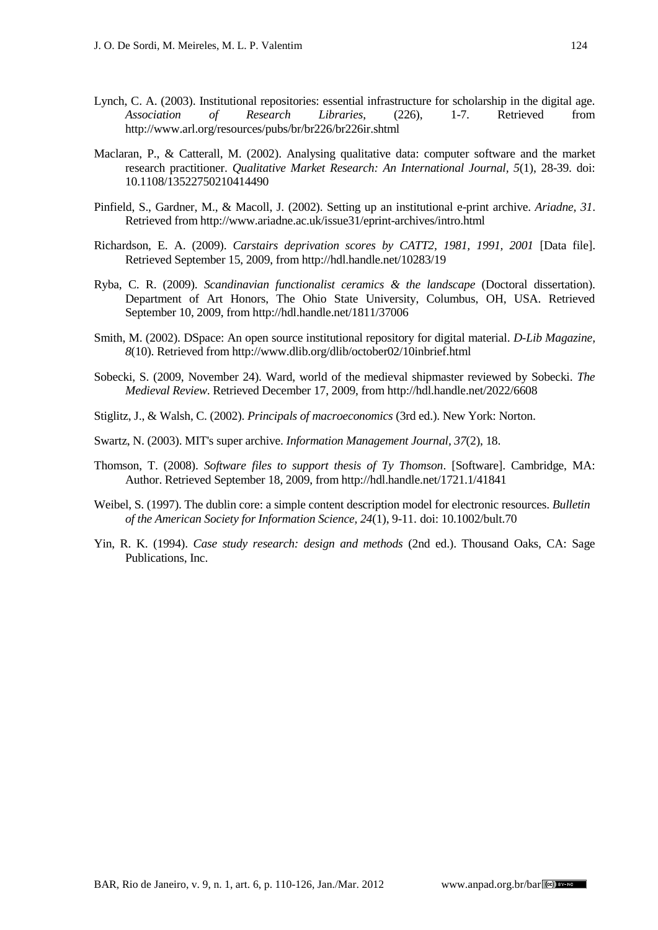- Lynch, C. A. (2003). Institutional repositories: essential infrastructure for scholarship in the digital age. *Association of Research Libraries*, (226), 1-7. Retrieved from http://www.arl.org/resources/pubs/br/br226/br226ir.shtml
- Maclaran, P., & Catterall, M. (2002). Analysing qualitative data: computer software and the market research practitioner. *Qualitative Market Research: An International Journal, 5*(1), 28-39. doi: [10.1108/13522750210414490](http://dx.doi.org/10.1108/13522750210414490)
- Pinfield, S., Gardner, M., & Macoll, J. (2002). Setting up an institutional e-print archive. *Ariadne, 31*. Retrieved from http://www.ariadne.ac.uk/issue31/eprint-archives/intro.html
- Richardson, E. A. (2009). *Carstairs deprivation scores by CATT2, 1981, 1991, 2001* [Data file]. Retrieved September 15, 2009, from<http://hdl.handle.net/10283/19>
- Ryba, C. R. (2009). *Scandinavian functionalist ceramics & the landscape* (Doctoral dissertation). Department of Art Honors, The Ohio State University, Columbus, OH, USA. Retrieved September 10, 2009, from http://hdl.handle.net/1811/37006
- Smith, M. (2002). DSpace: An open source institutional repository for digital material. *D-Lib Magazine, 8*(10). Retrieved from http://www.dlib.org/dlib/october02/10inbrief.html
- Sobecki, S. (2009, November 24). Ward, world of the medieval shipmaster reviewed by Sobecki. *The Medieval Review*. Retrieved December 17, 2009, from http://hdl.handle.net/2022/6608
- Stiglitz, J., & Walsh, C. (2002). *Principals of macroeconomics* (3rd ed.). New York: Norton.
- Swartz, N. (2003). MIT's super archive. *Information Management Journal, 37*(2), 18.
- Thomson, T. (2008). *Software files to support thesis of Ty Thomson*. [Software]. Cambridge, MA: Author. Retrieved September 18, 2009, from http://hdl.handle.net/1721.1/41841
- Weibel, S. (1997). The dublin core: a simple content description model for electronic resources. *Bulletin of the American Society for Information Science, 24*(1), 9-11. doi: 10.1002/bult.70
- Yin, R. K. (1994). *Case study research: design and methods* (2nd ed.). Thousand Oaks, CA: Sage Publications, Inc.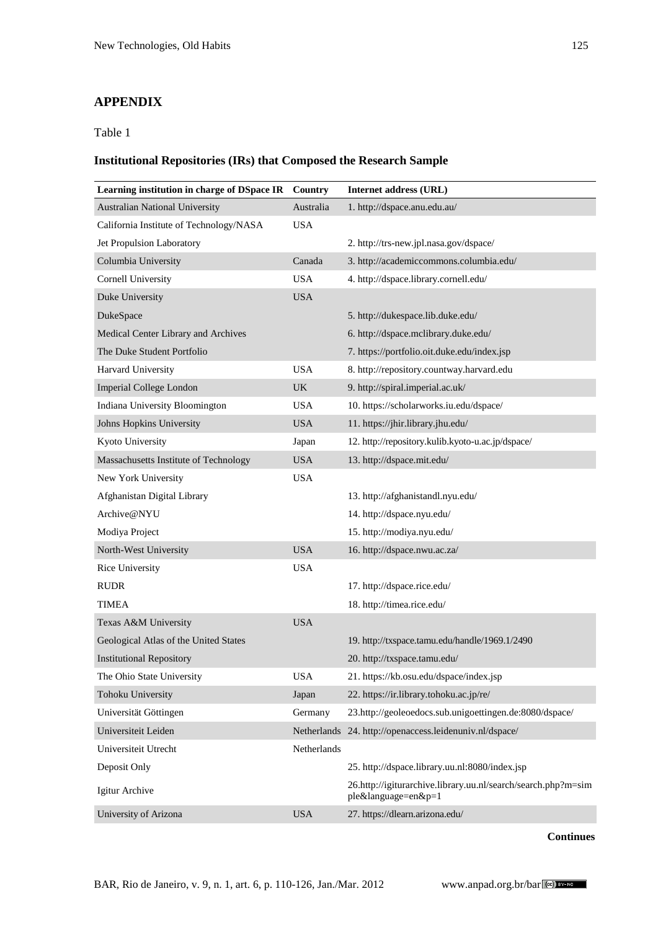## **APPENDIX**

## Table 1

## **Institutional Repositories (IRs) that Composed the Research Sample**

| Learning institution in charge of DSpace IR | Country     | Internet address (URL)                                                               |
|---------------------------------------------|-------------|--------------------------------------------------------------------------------------|
| Australian National University              | Australia   | 1. http://dspace.anu.edu.au/                                                         |
| California Institute of Technology/NASA     | <b>USA</b>  |                                                                                      |
| Jet Propulsion Laboratory                   |             | 2. http://trs-new.jpl.nasa.gov/dspace/                                               |
| Columbia University                         | Canada      | 3. http://academiccommons.columbia.edu/                                              |
| Cornell University                          | <b>USA</b>  | 4. http://dspace.library.cornell.edu/                                                |
| Duke University                             | <b>USA</b>  |                                                                                      |
| DukeSpace                                   |             | 5. http://dukespace.lib.duke.edu/                                                    |
| Medical Center Library and Archives         |             | 6. http://dspace.mclibrary.duke.edu/                                                 |
| The Duke Student Portfolio                  |             | 7. https://portfolio.oit.duke.edu/index.jsp                                          |
| Harvard University                          | <b>USA</b>  | 8. http://repository.countway.harvard.edu                                            |
| Imperial College London                     | UK          | 9. http://spiral.imperial.ac.uk/                                                     |
| Indiana University Bloomington              | <b>USA</b>  | 10. https://scholarworks.iu.edu/dspace/                                              |
| Johns Hopkins University                    | <b>USA</b>  | 11. https://jhir.library.jhu.edu/                                                    |
| Kyoto University                            | Japan       | 12. http://repository.kulib.kyoto-u.ac.jp/dspace/                                    |
| Massachusetts Institute of Technology       | <b>USA</b>  | 13. http://dspace.mit.edu/                                                           |
| New York University                         | <b>USA</b>  |                                                                                      |
| Afghanistan Digital Library                 |             | 13. http://afghanistandl.nyu.edu/                                                    |
| Archive@NYU                                 |             | 14. http://dspace.nyu.edu/                                                           |
| Modiya Project                              |             | 15. http://modiya.nyu.edu/                                                           |
| North-West University                       | <b>USA</b>  | 16. http://dspace.nwu.ac.za/                                                         |
| Rice University                             | <b>USA</b>  |                                                                                      |
| <b>RUDR</b>                                 |             | 17. http://dspace.rice.edu/                                                          |
| TIMEA                                       |             | 18. http://timea.rice.edu/                                                           |
| Texas A&M University                        | <b>USA</b>  |                                                                                      |
| Geological Atlas of the United States       |             | 19. http://txspace.tamu.edu/handle/1969.1/2490                                       |
| <b>Institutional Repository</b>             |             | 20. http://txspace.tamu.edu/                                                         |
| The Ohio State University                   | <b>USA</b>  | 21. https://kb.osu.edu/dspace/index.jsp                                              |
| Tohoku University                           | Japan       | 22. https://ir.library.tohoku.ac.jp/re/                                              |
| Universität Göttingen                       | Germany     | 23.http://geoleoedocs.sub.unigoettingen.de:8080/dspace/                              |
| Universiteit Leiden                         |             | Netherlands 24. http://openaccess.leidenuniv.nl/dspace/                              |
| Universiteit Utrecht                        | Netherlands |                                                                                      |
| Deposit Only                                |             | 25. http://dspace.library.uu.nl:8080/index.jsp                                       |
| Igitur Archive                              |             | 26.http://igiturarchive.library.uu.nl/search/search.php?m=sim<br>ple&language=en&p=1 |
| University of Arizona                       | <b>USA</b>  | 27. https://dlearn.arizona.edu/                                                      |

**Continues**